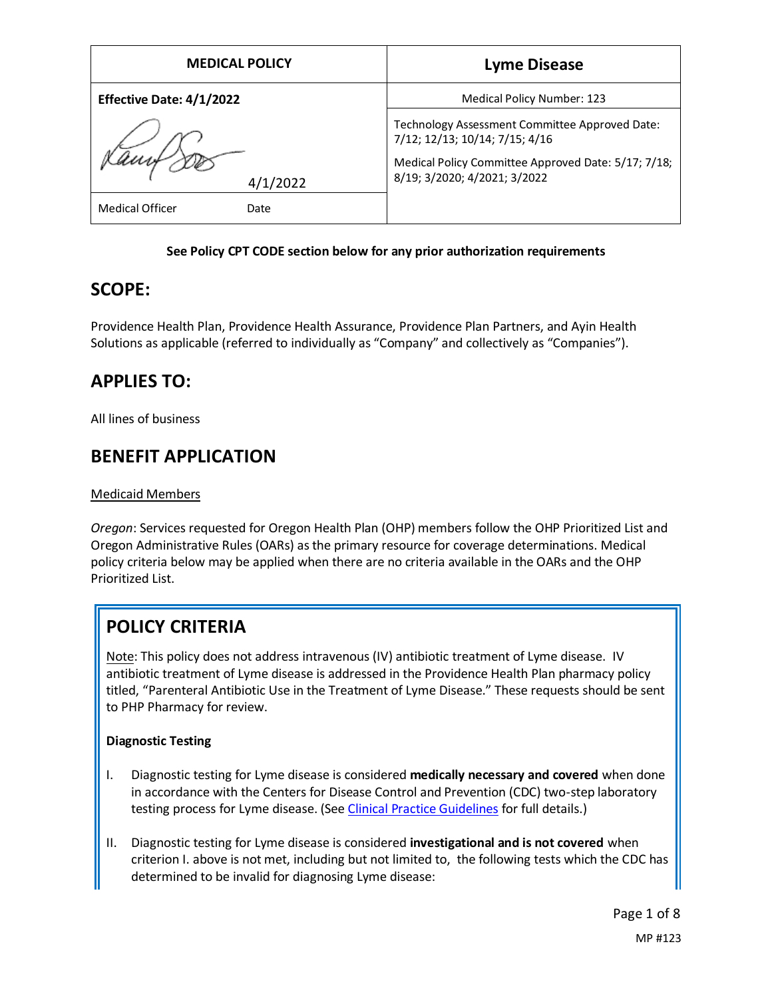| <b>MEDICAL POLICY</b>                      | <b>Lyme Disease</b>                                                                                                                                                     |
|--------------------------------------------|-------------------------------------------------------------------------------------------------------------------------------------------------------------------------|
| Effective Date: 4/1/2022                   | <b>Medical Policy Number: 123</b>                                                                                                                                       |
| 4/1/2022<br><b>Medical Officer</b><br>Date | Technology Assessment Committee Approved Date:<br>7/12; 12/13; 10/14; 7/15; 4/16<br>Medical Policy Committee Approved Date: 5/17; 7/18;<br>8/19; 3/2020; 4/2021; 3/2022 |

### **See Policy CPT CODE section below for any prior authorization requirements**

### **SCOPE:**

Providence Health Plan, Providence Health Assurance, Providence Plan Partners, and Ayin Health Solutions as applicable (referred to individually as "Company" and collectively as "Companies").

## **APPLIES TO:**

All lines of business

## **BENEFIT APPLICATION**

### Medicaid Members

*Oregon*: Services requested for Oregon Health Plan (OHP) members follow the OHP Prioritized List and Oregon Administrative Rules (OARs) as the primary resource for coverage determinations. Medical policy criteria below may be applied when there are no criteria available in the OARs and the OHP Prioritized List.

# **POLICY CRITERIA**

Note: This policy does not address intravenous (IV) antibiotic treatment of Lyme disease. IV antibiotic treatment of Lyme disease is addressed in the Providence Health Plan pharmacy policy titled, "Parenteral Antibiotic Use in the Treatment of Lyme Disease." These requests should be sent to PHP Pharmacy for review.

### **Diagnostic Testing**

- I. Diagnostic testing for Lyme disease is considered **medically necessary and covered** when done in accordance with the Centers for Disease Control and Prevention (CDC) two-step laboratory testing process for Lyme disease. (Se[e Clinical Practice Guidelines](#page-4-0) for full details.)
- II. Diagnostic testing for Lyme disease is considered **investigational and is not covered** when criterion I. above is not met, including but not limited to, the following tests which the CDC has determined to be invalid for diagnosing Lyme disease: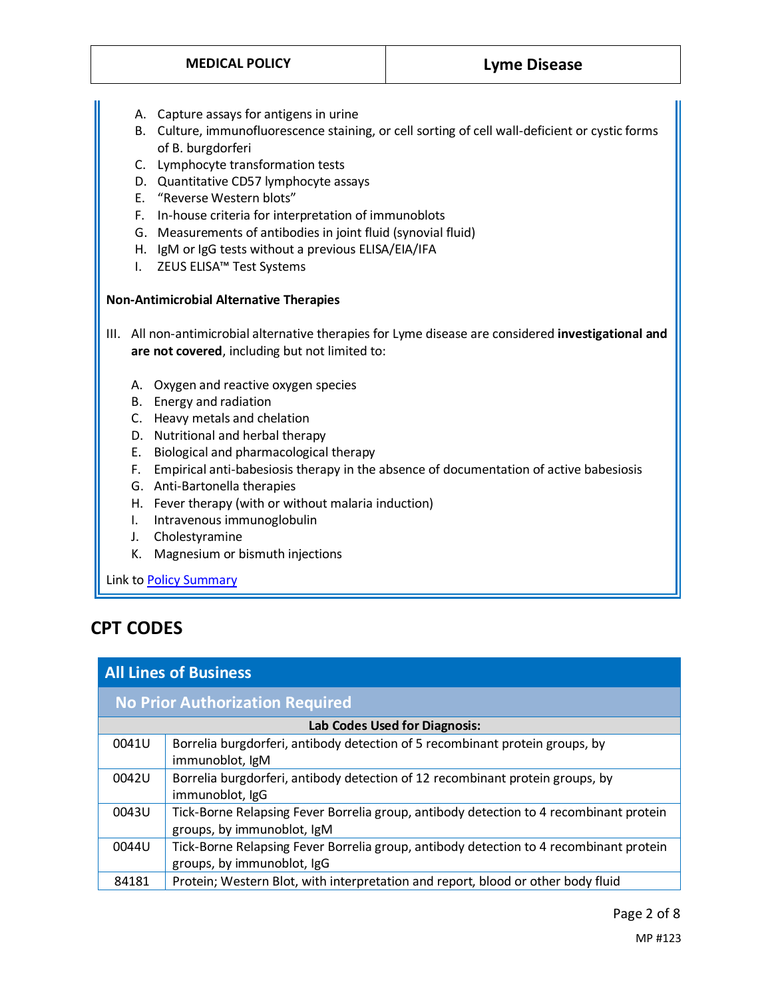- A. Capture assays for antigens in urine
- B. Culture, immunofluorescence staining, or cell sorting of cell wall-deficient or cystic forms of B. burgdorferi
- C. Lymphocyte transformation tests
- D. Quantitative CD57 lymphocyte assays
- E. "Reverse Western blots"
- F. In-house criteria for interpretation of immunoblots
- G. Measurements of antibodies in joint fluid (synovial fluid)
- H. IgM or IgG tests without a previous ELISA/EIA/IFA
- I. ZEUS ELISA™ Test Systems

#### **Non-Antimicrobial Alternative Therapies**

- III. All non-antimicrobial alternative therapies for Lyme disease are considered **investigational and are not covered**, including but not limited to:
	- A. Oxygen and reactive oxygen species
	- B. Energy and radiation
	- C. Heavy metals and chelation
	- D. Nutritional and herbal therapy
	- E. Biological and pharmacological therapy
	- F. Empirical anti-babesiosis therapy in the absence of documentation of active babesiosis
	- G. Anti-Bartonella therapies
	- H. Fever therapy (with or without malaria induction)
	- I. Intravenous immunoglobulin
	- J. Cholestyramine
	- K. Magnesium or bismuth injections

Link t[o Policy Summary](#page-6-0)

## **CPT CODES**

### **All Lines of Business**

| <b>No Prior Authorization Required</b> |                                                                                                                      |  |
|----------------------------------------|----------------------------------------------------------------------------------------------------------------------|--|
| Lab Codes Used for Diagnosis:          |                                                                                                                      |  |
| 0041U                                  | Borrelia burgdorferi, antibody detection of 5 recombinant protein groups, by<br>immunoblot, IgM                      |  |
| 0042U                                  | Borrelia burgdorferi, antibody detection of 12 recombinant protein groups, by<br>immunoblot, IgG                     |  |
| 0043U                                  | Tick-Borne Relapsing Fever Borrelia group, antibody detection to 4 recombinant protein<br>groups, by immunoblot, IgM |  |
| 0044U                                  | Tick-Borne Relapsing Fever Borrelia group, antibody detection to 4 recombinant protein<br>groups, by immunoblot, IgG |  |
| 84181                                  | Protein; Western Blot, with interpretation and report, blood or other body fluid                                     |  |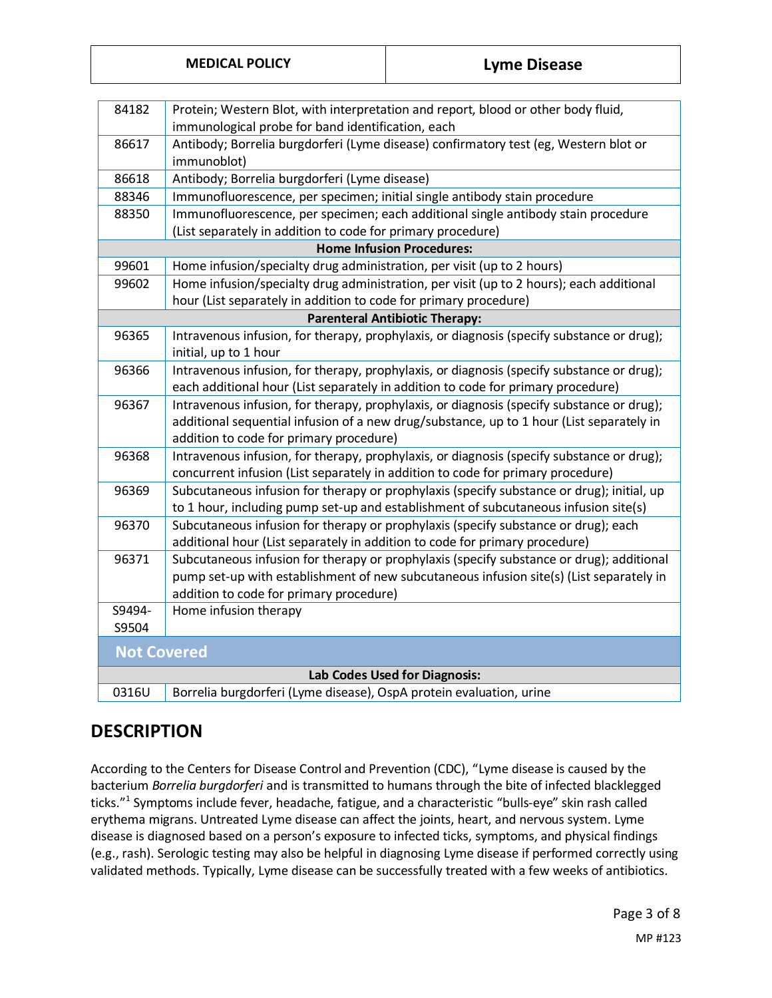| 84182                                 | Protein; Western Blot, with interpretation and report, blood or other body fluid,         |  |
|---------------------------------------|-------------------------------------------------------------------------------------------|--|
|                                       | immunological probe for band identification, each                                         |  |
| 86617                                 | Antibody; Borrelia burgdorferi (Lyme disease) confirmatory test (eg, Western blot or      |  |
|                                       | immunoblot)                                                                               |  |
| 86618                                 | Antibody; Borrelia burgdorferi (Lyme disease)                                             |  |
| 88346                                 | Immunofluorescence, per specimen; initial single antibody stain procedure                 |  |
| 88350                                 | Immunofluorescence, per specimen; each additional single antibody stain procedure         |  |
|                                       | (List separately in addition to code for primary procedure)                               |  |
|                                       | <b>Home Infusion Procedures:</b>                                                          |  |
| 99601                                 | Home infusion/specialty drug administration, per visit (up to 2 hours)                    |  |
| 99602                                 | Home infusion/specialty drug administration, per visit (up to 2 hours); each additional   |  |
|                                       | hour (List separately in addition to code for primary procedure)                          |  |
| <b>Parenteral Antibiotic Therapy:</b> |                                                                                           |  |
| 96365                                 | Intravenous infusion, for therapy, prophylaxis, or diagnosis (specify substance or drug); |  |
|                                       | initial, up to 1 hour                                                                     |  |
| 96366                                 | Intravenous infusion, for therapy, prophylaxis, or diagnosis (specify substance or drug); |  |
|                                       | each additional hour (List separately in addition to code for primary procedure)          |  |
| 96367                                 | Intravenous infusion, for therapy, prophylaxis, or diagnosis (specify substance or drug); |  |
|                                       | additional sequential infusion of a new drug/substance, up to 1 hour (List separately in  |  |
|                                       | addition to code for primary procedure)                                                   |  |
| 96368                                 | Intravenous infusion, for therapy, prophylaxis, or diagnosis (specify substance or drug); |  |
|                                       | concurrent infusion (List separately in addition to code for primary procedure)           |  |
| 96369                                 | Subcutaneous infusion for therapy or prophylaxis (specify substance or drug); initial, up |  |
|                                       | to 1 hour, including pump set-up and establishment of subcutaneous infusion site(s)       |  |
| 96370                                 | Subcutaneous infusion for therapy or prophylaxis (specify substance or drug); each        |  |
|                                       | additional hour (List separately in addition to code for primary procedure)               |  |
| 96371                                 | Subcutaneous infusion for therapy or prophylaxis (specify substance or drug); additional  |  |
|                                       | pump set-up with establishment of new subcutaneous infusion site(s) (List separately in   |  |
|                                       | addition to code for primary procedure)                                                   |  |
| S9494-                                | Home infusion therapy                                                                     |  |
| S9504                                 |                                                                                           |  |
| <b>Not Covered</b>                    |                                                                                           |  |
| Lab Codes Used for Diagnosis:         |                                                                                           |  |
| 0316U                                 | Borrelia burgdorferi (Lyme disease), OspA protein evaluation, urine                       |  |

## **DESCRIPTION**

According to the Centers for Disease Control and Prevention (CDC), "Lyme disease is caused by the bacterium *Borrelia burgdorferi* and is transmitted to humans through the bite of infected blacklegged ticks." 1 Symptoms include fever, headache, fatigue, and a characteristic "bulls-eye" skin rash called erythema migrans. Untreated Lyme disease can affect the joints, heart, and nervous system. Lyme disease is diagnosed based on a person's exposure to infected ticks, symptoms, and physical findings (e.g., rash). Serologic testing may also be helpful in diagnosing Lyme disease if performed correctly using validated methods. Typically, Lyme disease can be successfully treated with a few weeks of antibiotics.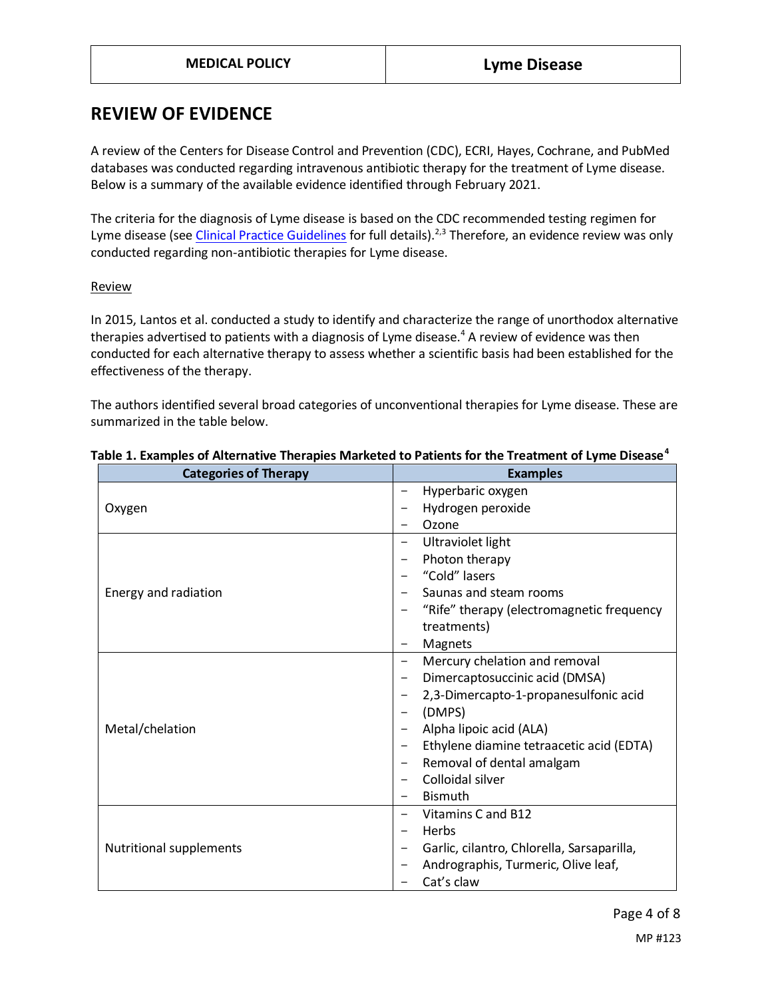### **REVIEW OF EVIDENCE**

A review of the Centers for Disease Control and Prevention (CDC), ECRI, Hayes, Cochrane, and PubMed databases was conducted regarding intravenous antibiotic therapy for the treatment of Lyme disease. Below is a summary of the available evidence identified through February 2021.

The criteria for the diagnosis of Lyme disease is based on the CDC recommended testing regimen for Lyme disease (see [Clinical Practice Guidelines](#page-4-0) for full details).<sup>2,3</sup> Therefore, an evidence review was only conducted regarding non-antibiotic therapies for Lyme disease.

#### **Review**

In 2015, Lantos et al. conducted a study to identify and characterize the range of unorthodox alternative therapies advertised to patients with a diagnosis of Lyme disease.<sup>4</sup> A review of evidence was then conducted for each alternative therapy to assess whether a scientific basis had been established for the effectiveness of the therapy.

The authors identified several broad categories of unconventional therapies for Lyme disease. These are summarized in the table below.

| <b>Categories of Therapy</b>   | <b>Examples</b>                            |
|--------------------------------|--------------------------------------------|
|                                | Hyperbaric oxygen                          |
| Oxygen                         | Hydrogen peroxide                          |
|                                | Ozone                                      |
|                                | Ultraviolet light                          |
|                                | Photon therapy                             |
|                                | "Cold" lasers                              |
| Energy and radiation           | Saunas and steam rooms                     |
|                                | "Rife" therapy (electromagnetic frequency  |
|                                | treatments)                                |
|                                | Magnets                                    |
|                                | Mercury chelation and removal              |
|                                | Dimercaptosuccinic acid (DMSA)             |
|                                | 2,3-Dimercapto-1-propanesulfonic acid      |
|                                | (DMPS)                                     |
| Metal/chelation                | Alpha lipoic acid (ALA)                    |
|                                | Ethylene diamine tetraacetic acid (EDTA)   |
|                                | Removal of dental amalgam                  |
|                                | Colloidal silver                           |
|                                | <b>Bismuth</b>                             |
|                                | Vitamins C and B12                         |
|                                | Herbs                                      |
| <b>Nutritional supplements</b> | Garlic, cilantro, Chlorella, Sarsaparilla, |
|                                | Andrographis, Turmeric, Olive leaf,        |
|                                | Cat's claw                                 |

#### **Table 1. Examples of Alternative Therapies Marketed to Patients for the Treatment of Lyme Disease<sup>4</sup>**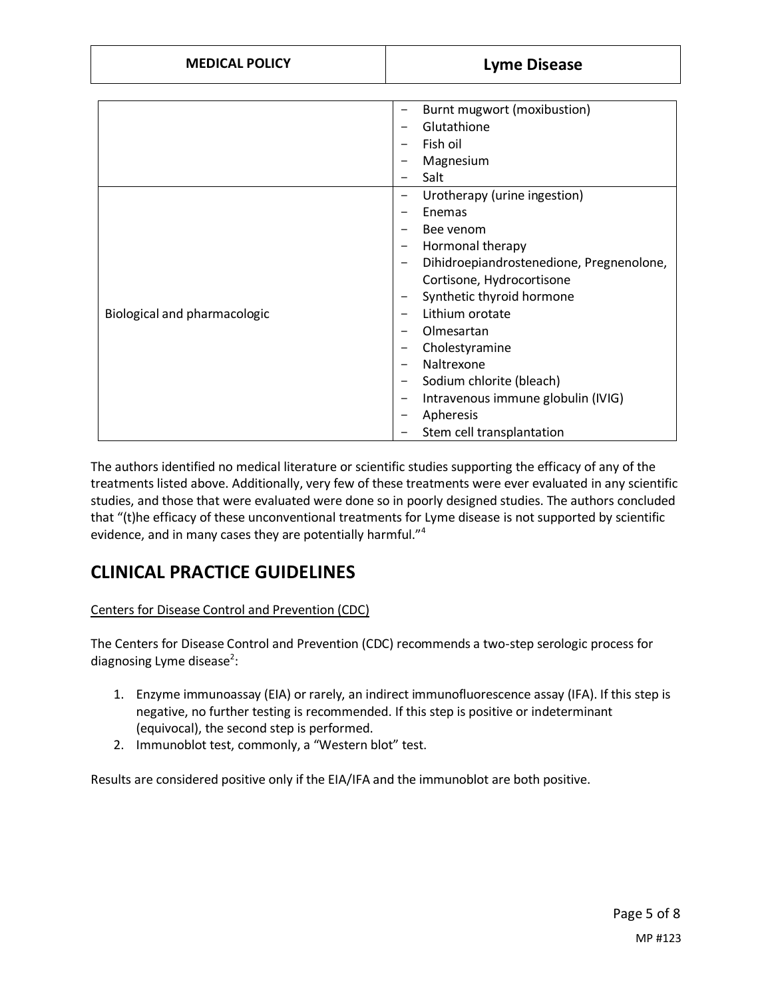|                              | Burnt mugwort (moxibustion)<br>-                            |
|------------------------------|-------------------------------------------------------------|
|                              | Glutathione<br>-                                            |
|                              | Fish oil                                                    |
|                              | Magnesium                                                   |
|                              | Salt                                                        |
|                              | Urotherapy (urine ingestion)<br>-                           |
|                              | Enemas                                                      |
|                              | Bee venom                                                   |
|                              | Hormonal therapy<br>-                                       |
|                              | Dihidroepiandrostenedione, Pregnenolone,<br>$\qquad \qquad$ |
|                              | Cortisone, Hydrocortisone                                   |
|                              | Synthetic thyroid hormone                                   |
| Biological and pharmacologic | Lithium orotate                                             |
|                              | Olmesartan                                                  |
|                              | Cholestyramine                                              |
|                              | Naltrexone                                                  |
|                              | Sodium chlorite (bleach)<br>-                               |
|                              | Intravenous immune globulin (IVIG)                          |
|                              | Apheresis                                                   |
|                              | Stem cell transplantation                                   |

The authors identified no medical literature or scientific studies supporting the efficacy of any of the treatments listed above. Additionally, very few of these treatments were ever evaluated in any scientific studies, and those that were evaluated were done so in poorly designed studies. The authors concluded that "(t)he efficacy of these unconventional treatments for Lyme disease is not supported by scientific evidence, and in many cases they are potentially harmful."<sup>4</sup>

## **CLINICAL PRACTICE GUIDELINES**

### <span id="page-4-0"></span>Centers for Disease Control and Prevention (CDC)

The Centers for Disease Control and Prevention (CDC) recommends a two-step serologic process for diagnosing Lyme disease<sup>2</sup>:

- 1. Enzyme immunoassay (EIA) or rarely, an indirect immunofluorescence assay (IFA). If this step is negative, no further testing is recommended. If this step is positive or indeterminant (equivocal), the second step is performed.
- 2. Immunoblot test, commonly, a "Western blot" test.

Results are considered positive only if the EIA/IFA and the immunoblot are both positive.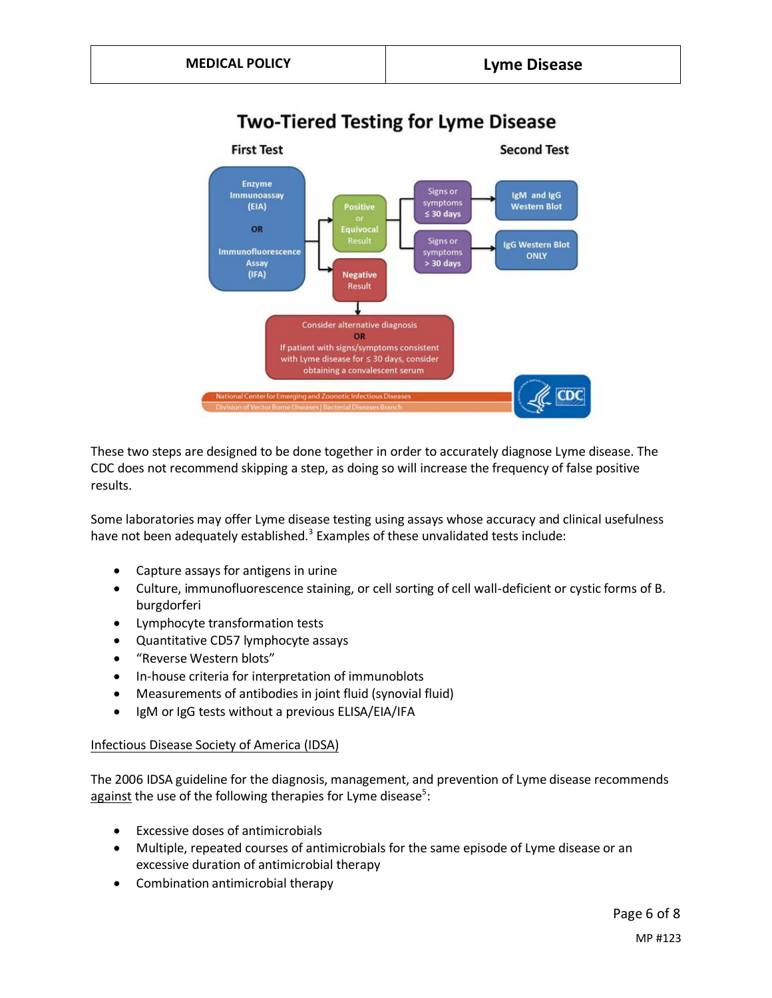### **Two-Tiered Testing for Lyme Disease**



These two steps are designed to be done together in order to accurately diagnose Lyme disease. The CDC does not recommend skipping a step, as doing so will increase the frequency of false positive results.

Some laboratories may offer Lyme disease testing using assays whose accuracy and clinical usefulness have not been adequately established.<sup>3</sup> Examples of these unvalidated tests include:

- Capture assays for antigens in urine
- Culture, immunofluorescence staining, or cell sorting of cell wall-deficient or cystic forms of B. burgdorferi
- Lymphocyte transformation tests
- Quantitative CD57 lymphocyte assays
- "Reverse Western blots"
- In-house criteria for interpretation of immunoblots
- Measurements of antibodies in joint fluid (synovial fluid)
- IgM or IgG tests without a previous ELISA/EIA/IFA

#### Infectious Disease Society of America (IDSA)

The 2006 IDSA guideline for the diagnosis, management, and prevention of Lyme disease recommends against the use of the following therapies for Lyme disease<sup>5</sup>:

- Excessive doses of antimicrobials
- Multiple, repeated courses of antimicrobials for the same episode of Lyme disease or an excessive duration of antimicrobial therapy
- Combination antimicrobial therapy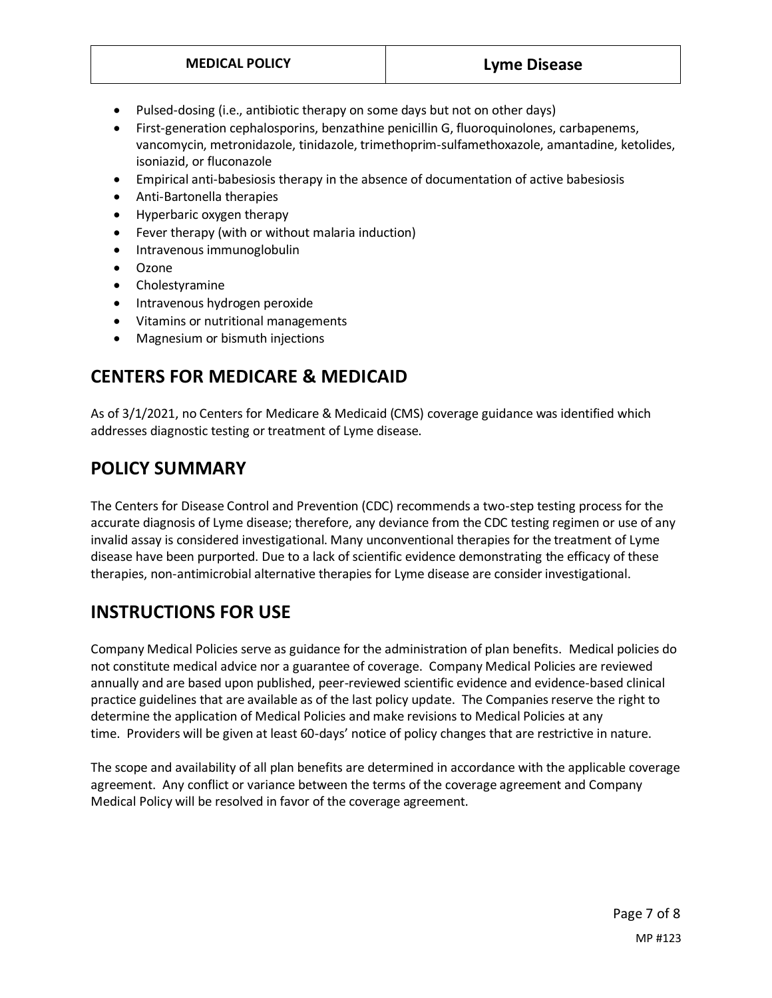- Pulsed-dosing (i.e., antibiotic therapy on some days but not on other days)
- First-generation cephalosporins, benzathine penicillin G, fluoroquinolones, carbapenems, vancomycin, metronidazole, tinidazole, trimethoprim-sulfamethoxazole, amantadine, ketolides, isoniazid, or fluconazole
- Empirical anti-babesiosis therapy in the absence of documentation of active babesiosis
- Anti-Bartonella therapies
- Hyperbaric oxygen therapy
- Fever therapy (with or without malaria induction)
- Intravenous immunoglobulin
- Ozone
- Cholestyramine
- Intravenous hydrogen peroxide
- Vitamins or nutritional managements
- Magnesium or bismuth injections

### **CENTERS FOR MEDICARE & MEDICAID**

As of 3/1/2021, no Centers for Medicare & Medicaid (CMS) coverage guidance was identified which addresses diagnostic testing or treatment of Lyme disease.

### <span id="page-6-0"></span>**POLICY SUMMARY**

The Centers for Disease Control and Prevention (CDC) recommends a two-step testing process for the accurate diagnosis of Lyme disease; therefore, any deviance from the CDC testing regimen or use of any invalid assay is considered investigational. Many unconventional therapies for the treatment of Lyme disease have been purported. Due to a lack of scientific evidence demonstrating the efficacy of these therapies, non-antimicrobial alternative therapies for Lyme disease are consider investigational.

## **INSTRUCTIONS FOR USE**

Company Medical Policies serve as guidance for the administration of plan benefits. Medical policies do not constitute medical advice nor a guarantee of coverage. Company Medical Policies are reviewed annually and are based upon published, peer-reviewed scientific evidence and evidence-based clinical practice guidelines that are available as of the last policy update. The Companies reserve the right to determine the application of Medical Policies and make revisions to Medical Policies at any time. Providers will be given at least 60-days' notice of policy changes that are restrictive in nature.

The scope and availability of all plan benefits are determined in accordance with the applicable coverage agreement. Any conflict or variance between the terms of the coverage agreement and Company Medical Policy will be resolved in favor of the coverage agreement.